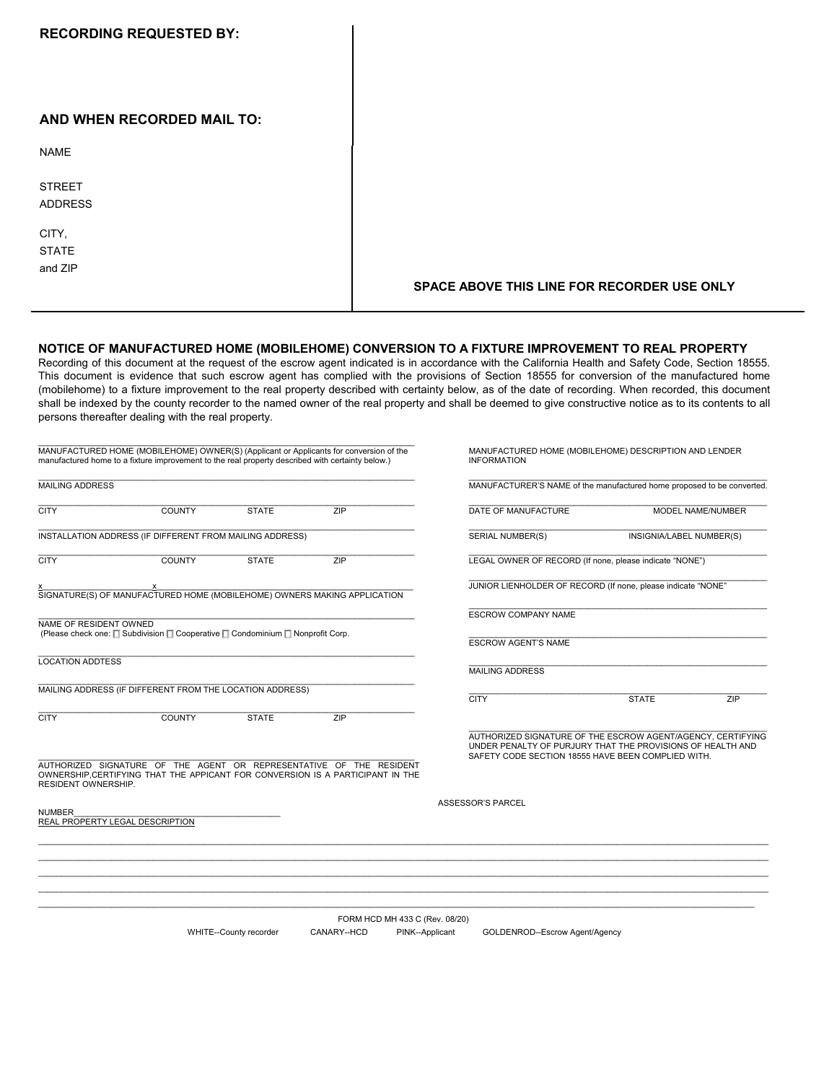| <b>RECORDING REQUESTED BY:</b>   |                                             |
|----------------------------------|---------------------------------------------|
| AND WHEN RECORDED MAIL TO:       |                                             |
| <b>NAME</b>                      |                                             |
| <b>STREET</b><br><b>ADDRESS</b>  |                                             |
| CITY,<br><b>STATE</b><br>and ZIP | SPACE ABOVE THIS LINE FOR RECORDER USE ONLY |

## **NOTICE OF MANUFACTURED HOME (MOBILEHOME) CONVERSION TO A FIXTURE IMPROVEMENT TO REAL PROPERTY**

Recording of this document at the request of the escrow agent indicated is in accordance with the California Health and Safety Code, Section 18555. This document is evidence that such escrow agent has complied with the provisions of Section 18555 for conversion of the manufactured home (mobilehome) to a fixture improvement to the real property described with certainty below, as of the date of recording. When recorded, this document shall be indexed by the county recorder to the named owner of the real property and shall be deemed to give constructive notice as to its contents to all persons thereafter dealing with the real property.

| MANUFACTURED HOME (MOBILEHOME) OWNER(S) (Applicant or Applicants for conversion of the<br>manufactured home to a fixture improvement to the real property described with certainty below.) |                                                                               |                        |                                                                                                                                                      |                 | MANUFACTURED HOME (MOBILEHOME) DESCRIPTION AND LENDER<br><b>INFORMATION</b>                                               |              |                   |  |
|--------------------------------------------------------------------------------------------------------------------------------------------------------------------------------------------|-------------------------------------------------------------------------------|------------------------|------------------------------------------------------------------------------------------------------------------------------------------------------|-----------------|---------------------------------------------------------------------------------------------------------------------------|--------------|-------------------|--|
| <b>MAILING ADDRESS</b>                                                                                                                                                                     |                                                                               |                        |                                                                                                                                                      |                 | MANUFACTURER'S NAME of the manufactured home proposed to be converted.                                                    |              |                   |  |
| <b>CITY</b>                                                                                                                                                                                | <b>COUNTY</b>                                                                 | <b>STATE</b>           | ZIP                                                                                                                                                  |                 | DATE OF MANUFACTURE                                                                                                       |              | MODEL NAME/NUMBER |  |
| INSTALLATION ADDRESS (IF DIFFERENT FROM MAILING ADDRESS)                                                                                                                                   |                                                                               |                        |                                                                                                                                                      |                 | <b>SERIAL NUMBER(S)</b><br>INSIGNIA/LABEL NUMBER(S)                                                                       |              |                   |  |
| <b>CITY</b>                                                                                                                                                                                | <b>COUNTY</b>                                                                 | <b>STATE</b>           | ZIP                                                                                                                                                  |                 | LEGAL OWNER OF RECORD (If none, please indicate "NONE")                                                                   |              |                   |  |
|                                                                                                                                                                                            | X<br>SIGNATURE(S) OF MANUFACTURED HOME (MOBILEHOME) OWNERS MAKING APPLICATION |                        |                                                                                                                                                      |                 | JUNIOR LIENHOLDER OF RECORD (If none, please indicate "NONE"                                                              |              |                   |  |
|                                                                                                                                                                                            |                                                                               |                        |                                                                                                                                                      |                 | <b>ESCROW COMPANY NAME</b>                                                                                                |              |                   |  |
| NAME OF RESIDENT OWNED<br>(Please check one: $\Box$ Subdivision $\Box$ Cooperative $\Box$ Condominium $\Box$ Nonprofit Corp.                                                               |                                                                               |                        |                                                                                                                                                      |                 | <b>ESCROW AGENT'S NAME</b>                                                                                                |              |                   |  |
| <b>LOCATION ADDTESS</b>                                                                                                                                                                    |                                                                               |                        |                                                                                                                                                      |                 | <b>MAILING ADDRESS</b>                                                                                                    |              |                   |  |
|                                                                                                                                                                                            | MAILING ADDRESS (IF DIFFERENT FROM THE LOCATION ADDRESS)                      |                        |                                                                                                                                                      |                 | <b>CITY</b>                                                                                                               | <b>STATE</b> | ZIP               |  |
| <b>CITY</b>                                                                                                                                                                                | <b>COUNTY</b>                                                                 | <b>STATE</b>           | ZIP                                                                                                                                                  |                 |                                                                                                                           |              |                   |  |
|                                                                                                                                                                                            |                                                                               |                        |                                                                                                                                                      |                 | AUTHORIZED SIGNATURE OF THE ESCROW AGENT/AGENCY, CERTIFYING<br>UNDER PENALTY OF PURJURY THAT THE PROVISIONS OF HEALTH AND |              |                   |  |
| <b>RESIDENT OWNERSHIP.</b>                                                                                                                                                                 |                                                                               |                        | AUTHORIZED SIGNATURE OF THE AGENT OR REPRESENTATIVE OF THE RESIDENT<br>OWNERSHIP.CERTIFYING THAT THE APPICANT FOR CONVERSION IS A PARTICIPANT IN THE |                 | SAFETY CODE SECTION 18555 HAVE BEEN COMPLIED WITH.                                                                        |              |                   |  |
| <b>NUMBER</b>                                                                                                                                                                              | <b>REAL PROPERTY LEGAL DESCRIPTION</b>                                        |                        |                                                                                                                                                      |                 | ASSESSOR'S PARCEL                                                                                                         |              |                   |  |
|                                                                                                                                                                                            |                                                                               |                        |                                                                                                                                                      |                 |                                                                                                                           |              |                   |  |
|                                                                                                                                                                                            |                                                                               |                        |                                                                                                                                                      |                 |                                                                                                                           |              |                   |  |
|                                                                                                                                                                                            |                                                                               |                        |                                                                                                                                                      |                 |                                                                                                                           |              |                   |  |
|                                                                                                                                                                                            |                                                                               |                        | FORM HCD MH 433 C (Rev. 08/20)                                                                                                                       |                 |                                                                                                                           |              |                   |  |
|                                                                                                                                                                                            |                                                                               | WHITE--County recorder | CANARY--HCD                                                                                                                                          | PINK--Applicant | GOLDENROD--Escrow Agent/Agency                                                                                            |              |                   |  |